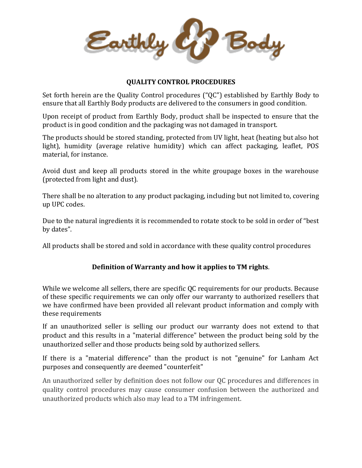Earthly Body

## **QUALITY CONTROL PROCEDURES**

Set forth herein are the Quality Control procedures ("QC") established by Earthly Body to ensure that all Earthly Body products are delivered to the consumers in good condition.

Upon receipt of product from Earthly Body, product shall be inspected to ensure that the product is in good condition and the packaging was not damaged in transport.

The products should be stored standing, protected from UV light, heat (heating but also hot light), humidity (average relative humidity) which can affect packaging, leaflet, POS material, for instance.

Avoid dust and keep all products stored in the white groupage boxes in the warehouse (protected from light and dust).

There shall be no alteration to any product packaging, including but not limited to, covering up UPC codes.

Due to the natural ingredients it is recommended to rotate stock to be sold in order of "best by dates".

All products shall be stored and sold in accordance with these quality control procedures

# **Definition of Warranty and how it applies to TM rights**.

While we welcome all sellers, there are specific QC requirements for our products. Because of these specific requirements we can only offer our warranty to authorized resellers that we have confirmed have been provided all relevant product information and comply with these requirements

If an unauthorized seller is selling our product our warranty does not extend to that product and this results in a "material difference" between the product being sold by the unauthorized seller and those products being sold by authorized sellers.

If there is a "material difference" than the product is not "genuine" for Lanham Act purposes and consequently are deemed "counterfeit"

An unauthorized seller by definition does not follow our QC procedures and differences in quality control procedures may cause consumer confusion between the authorized and unauthorized products which also may lead to a TM infringement.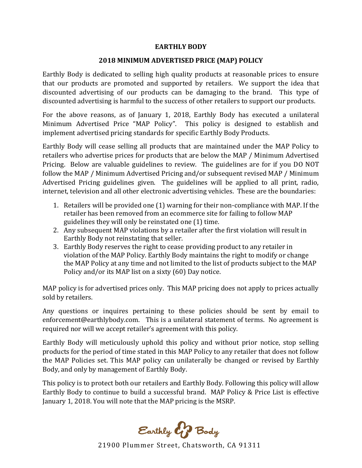### **EARTHLY BODY**

### **2018 MINIMUM ADVERTISED PRICE (MAP) POLICY**

Earthly Body is dedicated to selling high quality products at reasonable prices to ensure that our products are promoted and supported by retailers. We support the idea that discounted advertising of our products can be damaging to the brand. This type of discounted advertising is harmful to the success of other retailers to support our products.

For the above reasons, as of January 1, 2018, Earthly Body has executed a unilateral Minimum Advertised Price "MAP Policy". This policy is designed to establish and implement advertised pricing standards for specific Earthly Body Products.

Earthly Body will cease selling all products that are maintained under the MAP Policy to retailers who advertise prices for products that are below the MAP / Minimum Advertised Pricing. Below are valuable guidelines to review. The guidelines are for if you DO NOT follow the MAP / Minimum Advertised Pricing and/or subsequent revised MAP / Minimum Advertised Pricing guidelines given. The guidelines will be applied to all print, radio, internet, television and all other electronic advertising vehicles. These are the boundaries:

- 1. Retailers will be provided one (1) warning for their non-compliance with MAP. If the retailer has been removed from an ecommerce site for failing to follow MAP guidelines they will only be reinstated one (1) time.
- 2. Any subsequent MAP violations by a retailer after the first violation will result in Earthly Body not reinstating that seller.
- 3. Earthly Body reserves the right to cease providing product to any retailer in violation of the MAP Policy. Earthly Body maintains the right to modify or change the MAP Policy at any time and not limited to the list of products subject to the MAP Policy and/or its MAP list on a sixty (60) Day notice.

MAP policy is for advertised prices only. This MAP pricing does not apply to prices actually sold by retailers.

Any questions or inquires pertaining to these policies should be sent by email to enforcement@earthlybody.com. This is a unilateral statement of terms. No agreement is required nor will we accept retailer's agreement with this policy.

Earthly Body will meticulously uphold this policy and without prior notice, stop selling products for the period of time stated in this MAP Policy to any retailer that does not follow the MAP Policies set. This MAP policy can unilaterally be changed or revised by Earthly Body, and only by management of Earthly Body.

This policy is to protect both our retailers and Earthly Body. Following this policy will allow Earthly Body to continue to build a successful brand. MAP Policy & Price List is effective January 1, 2018. You will note that the MAP pricing is the MSRP.